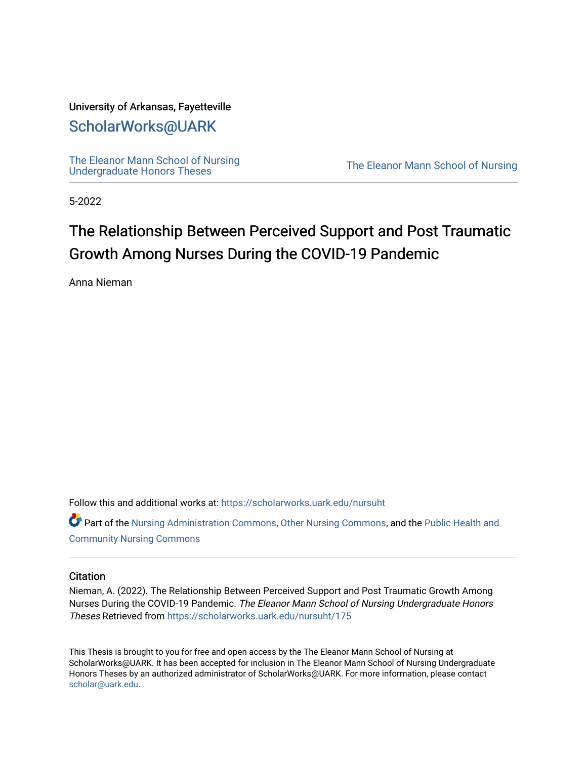## University of Arkansas, Fayetteville

# [ScholarWorks@UARK](https://scholarworks.uark.edu/)

[The Eleanor Mann School of Nursing](https://scholarworks.uark.edu/nursuht)<br>Undergraduate Honors Theses

The Eleanor Mann School of Nursing

5-2022

# The Relationship Between Perceived Support and Post Traumatic Growth Among Nurses During the COVID-19 Pandemic

Anna Nieman

Follow this and additional works at: [https://scholarworks.uark.edu/nursuht](https://scholarworks.uark.edu/nursuht?utm_source=scholarworks.uark.edu%2Fnursuht%2F175&utm_medium=PDF&utm_campaign=PDFCoverPages)

Part of the [Nursing Administration Commons](http://network.bepress.com/hgg/discipline/719?utm_source=scholarworks.uark.edu%2Fnursuht%2F175&utm_medium=PDF&utm_campaign=PDFCoverPages), [Other Nursing Commons,](http://network.bepress.com/hgg/discipline/729?utm_source=scholarworks.uark.edu%2Fnursuht%2F175&utm_medium=PDF&utm_campaign=PDFCoverPages) and the [Public Health and](http://network.bepress.com/hgg/discipline/725?utm_source=scholarworks.uark.edu%2Fnursuht%2F175&utm_medium=PDF&utm_campaign=PDFCoverPages)  [Community Nursing Commons](http://network.bepress.com/hgg/discipline/725?utm_source=scholarworks.uark.edu%2Fnursuht%2F175&utm_medium=PDF&utm_campaign=PDFCoverPages) 

#### **Citation**

Nieman, A. (2022). The Relationship Between Perceived Support and Post Traumatic Growth Among Nurses During the COVID-19 Pandemic. The Eleanor Mann School of Nursing Undergraduate Honors Theses Retrieved from [https://scholarworks.uark.edu/nursuht/175](https://scholarworks.uark.edu/nursuht/175?utm_source=scholarworks.uark.edu%2Fnursuht%2F175&utm_medium=PDF&utm_campaign=PDFCoverPages) 

This Thesis is brought to you for free and open access by the The Eleanor Mann School of Nursing at ScholarWorks@UARK. It has been accepted for inclusion in The Eleanor Mann School of Nursing Undergraduate Honors Theses by an authorized administrator of ScholarWorks@UARK. For more information, please contact [scholar@uark.edu](mailto:scholar@uark.edu).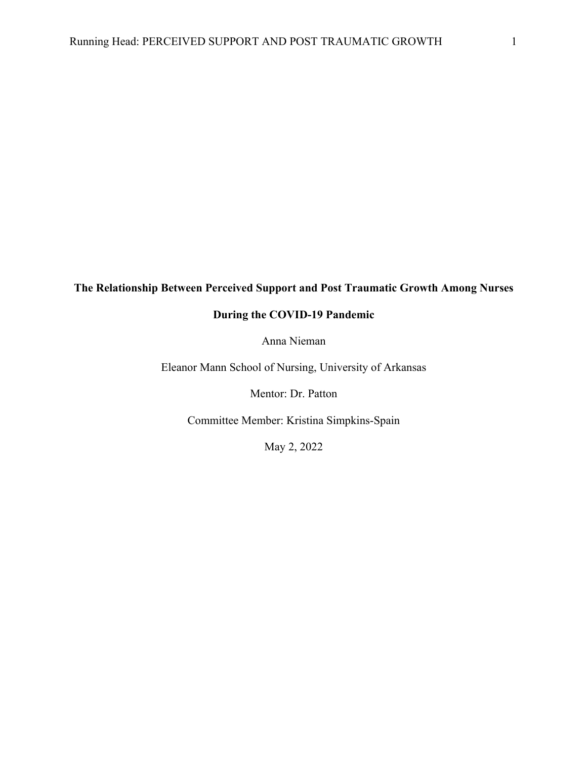# **The Relationship Between Perceived Support and Post Traumatic Growth Among Nurses**

# **During the COVID-19 Pandemic**

Anna Nieman

Eleanor Mann School of Nursing, University of Arkansas

Mentor: Dr. Patton

Committee Member: Kristina Simpkins-Spain

May 2, 2022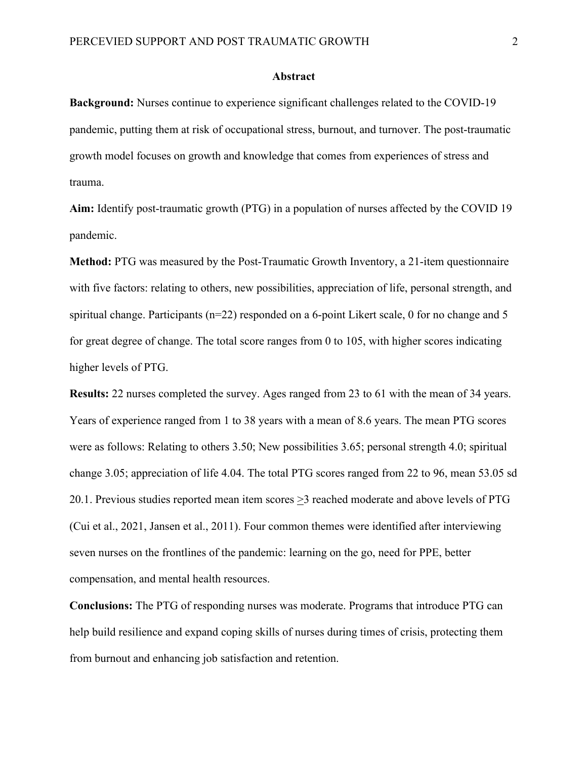#### **Abstract**

**Background:** Nurses continue to experience significant challenges related to the COVID-19 pandemic, putting them at risk of occupational stress, burnout, and turnover. The post-traumatic growth model focuses on growth and knowledge that comes from experiences of stress and trauma.

**Aim:** Identify post-traumatic growth (PTG) in a population of nurses affected by the COVID 19 pandemic.

**Method:** PTG was measured by the Post-Traumatic Growth Inventory, a 21-item questionnaire with five factors: relating to others, new possibilities, appreciation of life, personal strength, and spiritual change. Participants (n=22) responded on a 6-point Likert scale, 0 for no change and 5 for great degree of change. The total score ranges from 0 to 105, with higher scores indicating higher levels of PTG.

**Results:** 22 nurses completed the survey. Ages ranged from 23 to 61 with the mean of 34 years. Years of experience ranged from 1 to 38 years with a mean of 8.6 years. The mean PTG scores were as follows: Relating to others 3.50; New possibilities 3.65; personal strength 4.0; spiritual change 3.05; appreciation of life 4.04. The total PTG scores ranged from 22 to 96, mean 53.05 sd 20.1. Previous studies reported mean item scores  $\geq$ 3 reached moderate and above levels of PTG (Cui et al., 2021, Jansen et al., 2011). Four common themes were identified after interviewing seven nurses on the frontlines of the pandemic: learning on the go, need for PPE, better compensation, and mental health resources.

**Conclusions:** The PTG of responding nurses was moderate. Programs that introduce PTG can help build resilience and expand coping skills of nurses during times of crisis, protecting them from burnout and enhancing job satisfaction and retention.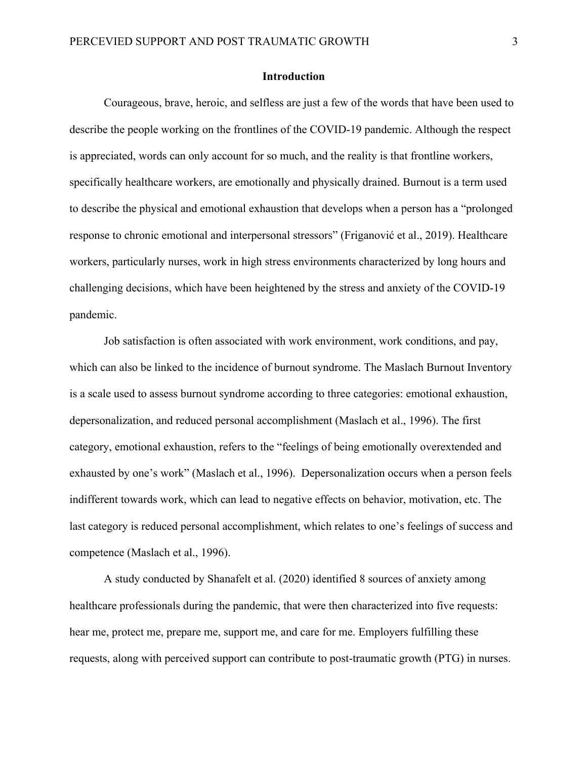#### **Introduction**

Courageous, brave, heroic, and selfless are just a few of the words that have been used to describe the people working on the frontlines of the COVID-19 pandemic. Although the respect is appreciated, words can only account for so much, and the reality is that frontline workers, specifically healthcare workers, are emotionally and physically drained. Burnout is a term used to describe the physical and emotional exhaustion that develops when a person has a "prolonged response to chronic emotional and interpersonal stressors" (Friganović et al., 2019). Healthcare workers, particularly nurses, work in high stress environments characterized by long hours and challenging decisions, which have been heightened by the stress and anxiety of the COVID-19 pandemic.

Job satisfaction is often associated with work environment, work conditions, and pay, which can also be linked to the incidence of burnout syndrome. The Maslach Burnout Inventory is a scale used to assess burnout syndrome according to three categories: emotional exhaustion, depersonalization, and reduced personal accomplishment (Maslach et al., 1996). The first category, emotional exhaustion, refers to the "feelings of being emotionally overextended and exhausted by one's work" (Maslach et al., 1996). Depersonalization occurs when a person feels indifferent towards work, which can lead to negative effects on behavior, motivation, etc. The last category is reduced personal accomplishment, which relates to one's feelings of success and competence (Maslach et al., 1996).

A study conducted by Shanafelt et al. (2020) identified 8 sources of anxiety among healthcare professionals during the pandemic, that were then characterized into five requests: hear me, protect me, prepare me, support me, and care for me. Employers fulfilling these requests, along with perceived support can contribute to post-traumatic growth (PTG) in nurses.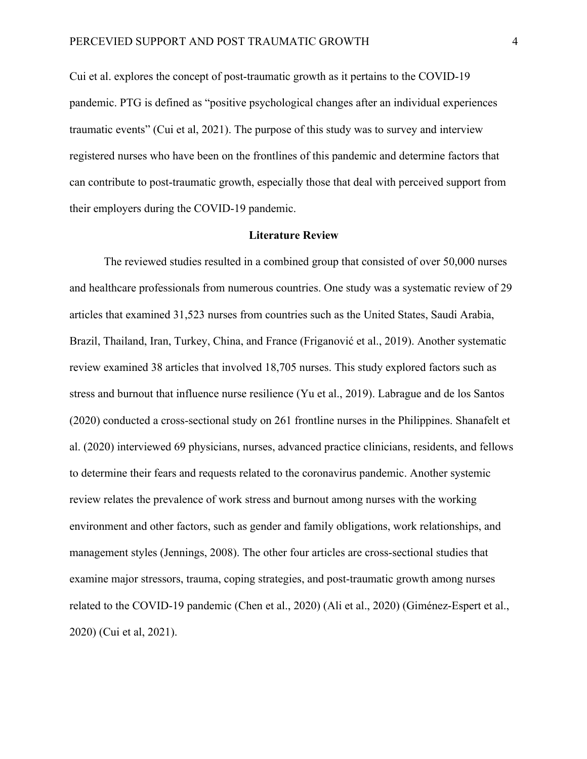Cui et al. explores the concept of post-traumatic growth as it pertains to the COVID-19 pandemic. PTG is defined as "positive psychological changes after an individual experiences traumatic events" (Cui et al, 2021). The purpose of this study was to survey and interview registered nurses who have been on the frontlines of this pandemic and determine factors that can contribute to post-traumatic growth, especially those that deal with perceived support from their employers during the COVID-19 pandemic.

#### **Literature Review**

The reviewed studies resulted in a combined group that consisted of over 50,000 nurses and healthcare professionals from numerous countries. One study was a systematic review of 29 articles that examined 31,523 nurses from countries such as the United States, Saudi Arabia, Brazil, Thailand, Iran, Turkey, China, and France (Friganović et al., 2019). Another systematic review examined 38 articles that involved 18,705 nurses. This study explored factors such as stress and burnout that influence nurse resilience (Yu et al., 2019). Labrague and de los Santos (2020) conducted a cross-sectional study on 261 frontline nurses in the Philippines. Shanafelt et al. (2020) interviewed 69 physicians, nurses, advanced practice clinicians, residents, and fellows to determine their fears and requests related to the coronavirus pandemic. Another systemic review relates the prevalence of work stress and burnout among nurses with the working environment and other factors, such as gender and family obligations, work relationships, and management styles (Jennings, 2008). The other four articles are cross-sectional studies that examine major stressors, trauma, coping strategies, and post-traumatic growth among nurses related to the COVID-19 pandemic (Chen et al., 2020) (Ali et al., 2020) (Giménez-Espert et al., 2020) (Cui et al, 2021).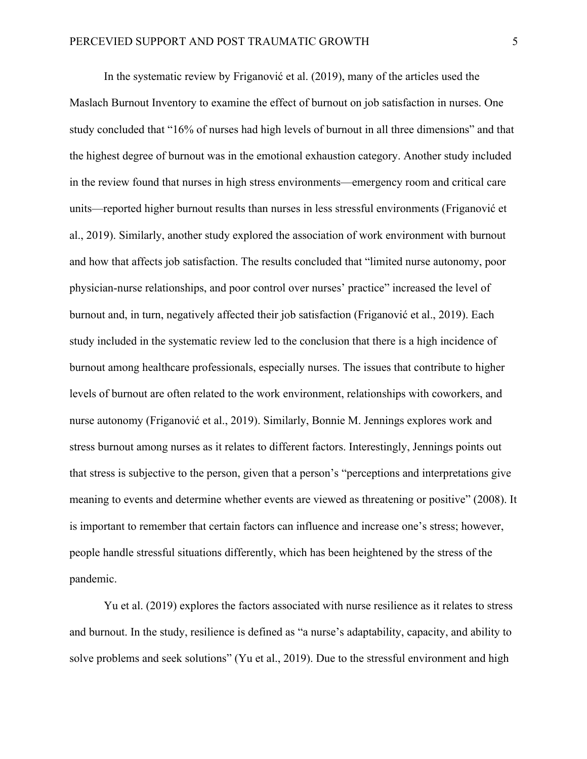In the systematic review by Friganović et al. (2019), many of the articles used the Maslach Burnout Inventory to examine the effect of burnout on job satisfaction in nurses. One study concluded that "16% of nurses had high levels of burnout in all three dimensions" and that the highest degree of burnout was in the emotional exhaustion category. Another study included in the review found that nurses in high stress environments—emergency room and critical care units—reported higher burnout results than nurses in less stressful environments (Friganović et al., 2019). Similarly, another study explored the association of work environment with burnout and how that affects job satisfaction. The results concluded that "limited nurse autonomy, poor physician-nurse relationships, and poor control over nurses' practice" increased the level of burnout and, in turn, negatively affected their job satisfaction (Friganović et al., 2019). Each study included in the systematic review led to the conclusion that there is a high incidence of burnout among healthcare professionals, especially nurses. The issues that contribute to higher levels of burnout are often related to the work environment, relationships with coworkers, and nurse autonomy (Friganović et al., 2019). Similarly, Bonnie M. Jennings explores work and stress burnout among nurses as it relates to different factors. Interestingly, Jennings points out that stress is subjective to the person, given that a person's "perceptions and interpretations give meaning to events and determine whether events are viewed as threatening or positive" (2008). It is important to remember that certain factors can influence and increase one's stress; however, people handle stressful situations differently, which has been heightened by the stress of the pandemic.

Yu et al. (2019) explores the factors associated with nurse resilience as it relates to stress and burnout. In the study, resilience is defined as "a nurse's adaptability, capacity, and ability to solve problems and seek solutions" (Yu et al., 2019). Due to the stressful environment and high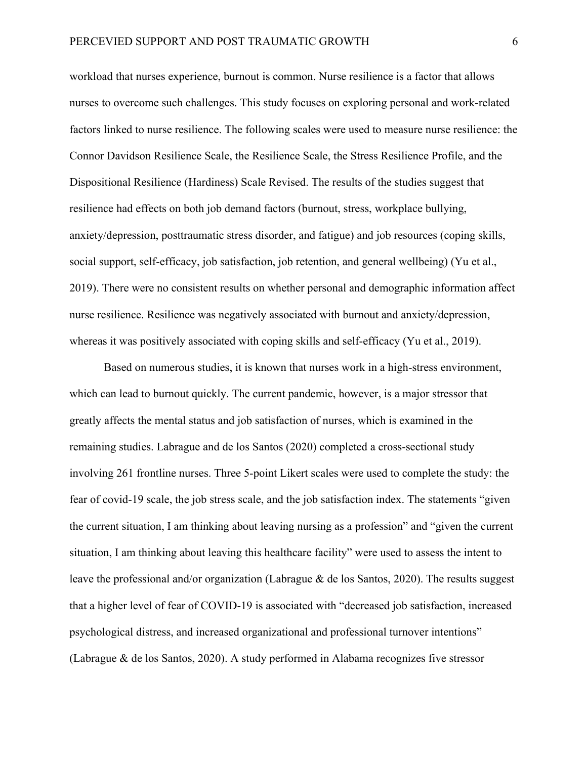workload that nurses experience, burnout is common. Nurse resilience is a factor that allows nurses to overcome such challenges. This study focuses on exploring personal and work-related factors linked to nurse resilience. The following scales were used to measure nurse resilience: the Connor Davidson Resilience Scale, the Resilience Scale, the Stress Resilience Profile, and the Dispositional Resilience (Hardiness) Scale Revised. The results of the studies suggest that resilience had effects on both job demand factors (burnout, stress, workplace bullying, anxiety/depression, posttraumatic stress disorder, and fatigue) and job resources (coping skills, social support, self-efficacy, job satisfaction, job retention, and general wellbeing) (Yu et al., 2019). There were no consistent results on whether personal and demographic information affect nurse resilience. Resilience was negatively associated with burnout and anxiety/depression, whereas it was positively associated with coping skills and self-efficacy (Yu et al., 2019).

Based on numerous studies, it is known that nurses work in a high-stress environment, which can lead to burnout quickly. The current pandemic, however, is a major stressor that greatly affects the mental status and job satisfaction of nurses, which is examined in the remaining studies. Labrague and de los Santos (2020) completed a cross-sectional study involving 261 frontline nurses. Three 5-point Likert scales were used to complete the study: the fear of covid-19 scale, the job stress scale, and the job satisfaction index. The statements "given the current situation, I am thinking about leaving nursing as a profession" and "given the current situation, I am thinking about leaving this healthcare facility" were used to assess the intent to leave the professional and/or organization (Labrague & de los Santos, 2020). The results suggest that a higher level of fear of COVID-19 is associated with "decreased job satisfaction, increased psychological distress, and increased organizational and professional turnover intentions" (Labrague & de los Santos, 2020). A study performed in Alabama recognizes five stressor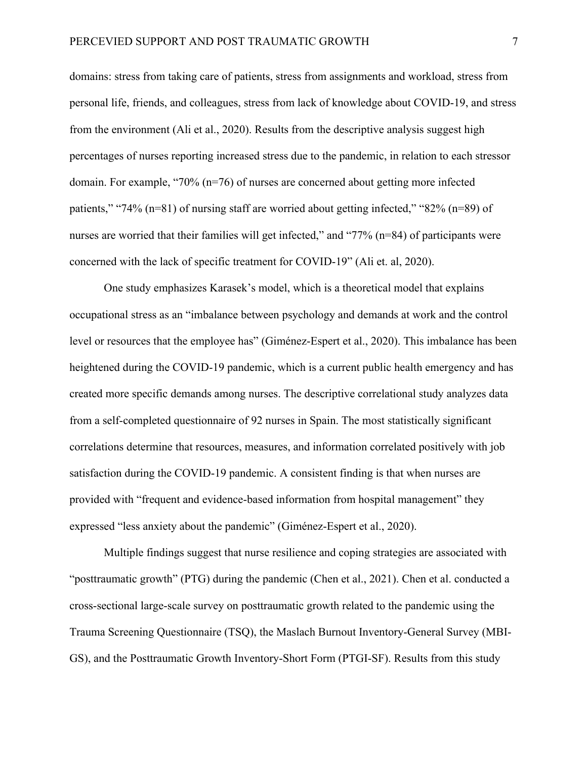domains: stress from taking care of patients, stress from assignments and workload, stress from personal life, friends, and colleagues, stress from lack of knowledge about COVID-19, and stress from the environment (Ali et al., 2020). Results from the descriptive analysis suggest high percentages of nurses reporting increased stress due to the pandemic, in relation to each stressor domain. For example, "70% (n=76) of nurses are concerned about getting more infected patients," "74% (n=81) of nursing staff are worried about getting infected," "82% (n=89) of nurses are worried that their families will get infected," and "77% (n=84) of participants were concerned with the lack of specific treatment for COVID-19" (Ali et. al, 2020).

One study emphasizes Karasek's model, which is a theoretical model that explains occupational stress as an "imbalance between psychology and demands at work and the control level or resources that the employee has" (Giménez-Espert et al., 2020). This imbalance has been heightened during the COVID-19 pandemic, which is a current public health emergency and has created more specific demands among nurses. The descriptive correlational study analyzes data from a self-completed questionnaire of 92 nurses in Spain. The most statistically significant correlations determine that resources, measures, and information correlated positively with job satisfaction during the COVID-19 pandemic. A consistent finding is that when nurses are provided with "frequent and evidence-based information from hospital management" they expressed "less anxiety about the pandemic" (Giménez-Espert et al., 2020).

Multiple findings suggest that nurse resilience and coping strategies are associated with "posttraumatic growth" (PTG) during the pandemic (Chen et al., 2021). Chen et al. conducted a cross-sectional large-scale survey on posttraumatic growth related to the pandemic using the Trauma Screening Questionnaire (TSQ), the Maslach Burnout Inventory-General Survey (MBI-GS), and the Posttraumatic Growth Inventory-Short Form (PTGI-SF). Results from this study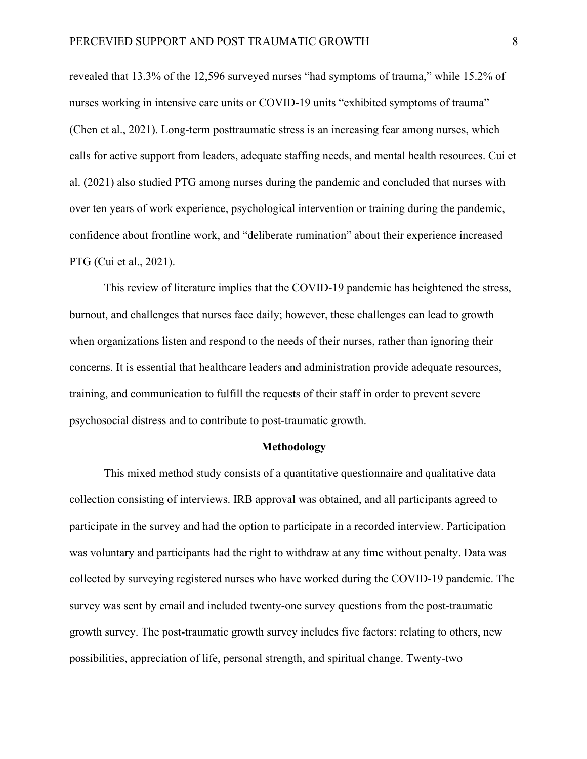revealed that 13.3% of the 12,596 surveyed nurses "had symptoms of trauma," while 15.2% of nurses working in intensive care units or COVID-19 units "exhibited symptoms of trauma" (Chen et al., 2021). Long-term posttraumatic stress is an increasing fear among nurses, which calls for active support from leaders, adequate staffing needs, and mental health resources. Cui et al. (2021) also studied PTG among nurses during the pandemic and concluded that nurses with over ten years of work experience, psychological intervention or training during the pandemic, confidence about frontline work, and "deliberate rumination" about their experience increased PTG (Cui et al., 2021).

This review of literature implies that the COVID-19 pandemic has heightened the stress, burnout, and challenges that nurses face daily; however, these challenges can lead to growth when organizations listen and respond to the needs of their nurses, rather than ignoring their concerns. It is essential that healthcare leaders and administration provide adequate resources, training, and communication to fulfill the requests of their staff in order to prevent severe psychosocial distress and to contribute to post-traumatic growth.

#### **Methodology**

This mixed method study consists of a quantitative questionnaire and qualitative data collection consisting of interviews. IRB approval was obtained, and all participants agreed to participate in the survey and had the option to participate in a recorded interview. Participation was voluntary and participants had the right to withdraw at any time without penalty. Data was collected by surveying registered nurses who have worked during the COVID-19 pandemic. The survey was sent by email and included twenty-one survey questions from the post-traumatic growth survey. The post-traumatic growth survey includes five factors: relating to others, new possibilities, appreciation of life, personal strength, and spiritual change. Twenty-two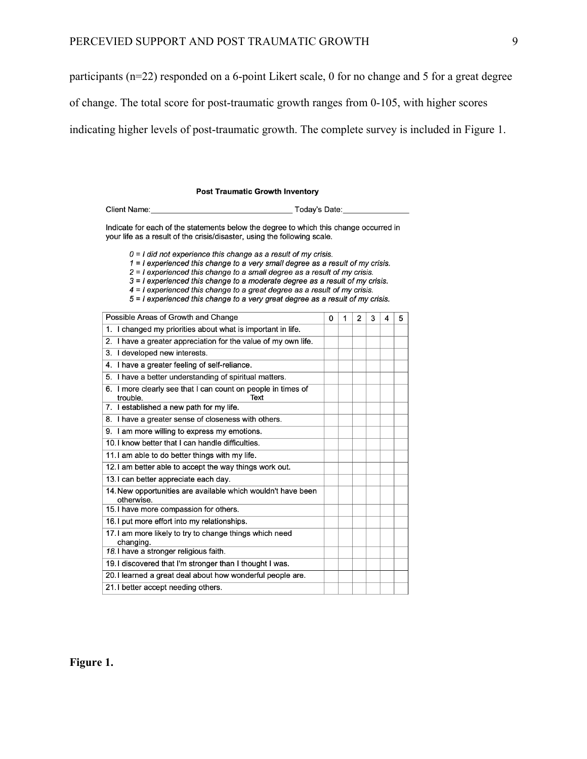participants (n=22) responded on a 6-point Likert scale, 0 for no change and 5 for a great degree

of change. The total score for post-traumatic growth ranges from 0-105, with higher scores

indicating higher levels of post-traumatic growth. The complete survey is included in Figure 1.

| <b>Client Name:</b> |
|---------------------|
|---------------------|

Indicate for each of the statements below the degree to which this change occurred in your life as a result of the crisis/disaster, using the following scale.

 $0 = I$  did not experience this change as a result of my crisis.

 $1 = 1$  experienced this change to a very small degree as a result of my crisis.

2 = I experienced this change to a small degree as a result of my crisis.

 $3 = 1$  experienced this change to a moderate degree as a result of my crisis.

4 = I experienced this change to a great degree as a result of my crisis. 5 = I experienced this change to a very great degree as a result of my crisis.

Possible Areas of Growth and Change  $0$  1 2 3 4 5

| 1. I changed my priorities about what is important in life.                      |  |  |  |
|----------------------------------------------------------------------------------|--|--|--|
| 2. I have a greater appreciation for the value of my own life.                   |  |  |  |
| I developed new interests.<br>3.                                                 |  |  |  |
| 4. I have a greater feeling of self-reliance.                                    |  |  |  |
| 5. I have a better understanding of spiritual matters.                           |  |  |  |
| 6. I more clearly see that I can count on people in times of<br>trouble.<br>Text |  |  |  |
| 7. I established a new path for my life.                                         |  |  |  |
| 8. I have a greater sense of closeness with others.                              |  |  |  |
| 9. I am more willing to express my emotions.                                     |  |  |  |
| 10. I know better that I can handle difficulties.                                |  |  |  |
| 11. I am able to do better things with my life.                                  |  |  |  |
| 12. I am better able to accept the way things work out.                          |  |  |  |
| 13. I can better appreciate each day.                                            |  |  |  |
| 14. New opportunities are available which wouldn't have been<br>otherwise.       |  |  |  |
| 15. I have more compassion for others.                                           |  |  |  |
| 16. I put more effort into my relationships.                                     |  |  |  |
| 17. I am more likely to try to change things which need<br>changing.             |  |  |  |
| 18. I have a stronger religious faith.                                           |  |  |  |
| 19. I discovered that I'm stronger than I thought I was.                         |  |  |  |
| 20. I learned a great deal about how wonderful people are.                       |  |  |  |
| 21. I better accept needing others.                                              |  |  |  |

**Figure 1.**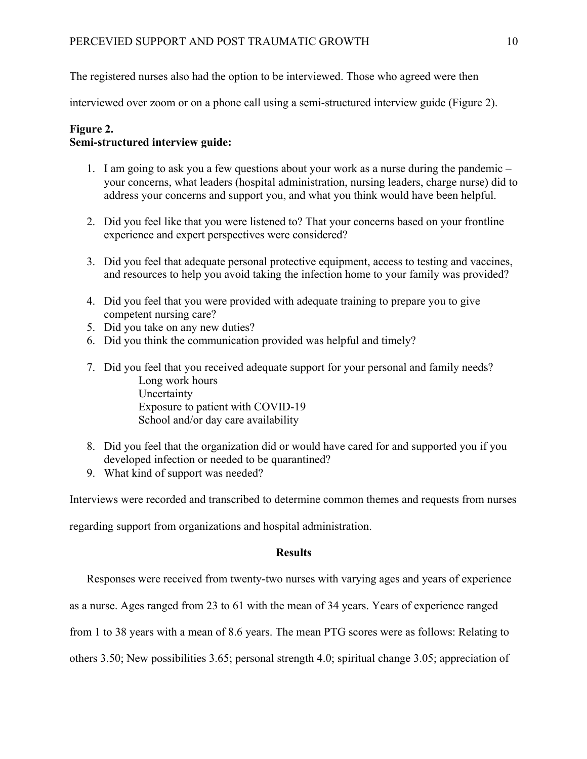The registered nurses also had the option to be interviewed. Those who agreed were then

interviewed over zoom or on a phone call using a semi-structured interview guide (Figure 2).

## **Figure 2. Semi-structured interview guide:**

- 1. I am going to ask you a few questions about your work as a nurse during the pandemic your concerns, what leaders (hospital administration, nursing leaders, charge nurse) did to address your concerns and support you, and what you think would have been helpful.
- 2. Did you feel like that you were listened to? That your concerns based on your frontline experience and expert perspectives were considered?
- 3. Did you feel that adequate personal protective equipment, access to testing and vaccines, and resources to help you avoid taking the infection home to your family was provided?
- 4. Did you feel that you were provided with adequate training to prepare you to give competent nursing care?
- 5. Did you take on any new duties?
- 6. Did you think the communication provided was helpful and timely?
- 7. Did you feel that you received adequate support for your personal and family needs? Long work hours Uncertainty Exposure to patient with COVID-19 School and/or day care availability
- 8. Did you feel that the organization did or would have cared for and supported you if you developed infection or needed to be quarantined?
- 9. What kind of support was needed?

Interviews were recorded and transcribed to determine common themes and requests from nurses

regarding support from organizations and hospital administration.

## **Results**

Responses were received from twenty-two nurses with varying ages and years of experience

as a nurse. Ages ranged from 23 to 61 with the mean of 34 years. Years of experience ranged

from 1 to 38 years with a mean of 8.6 years. The mean PTG scores were as follows: Relating to

others 3.50; New possibilities 3.65; personal strength 4.0; spiritual change 3.05; appreciation of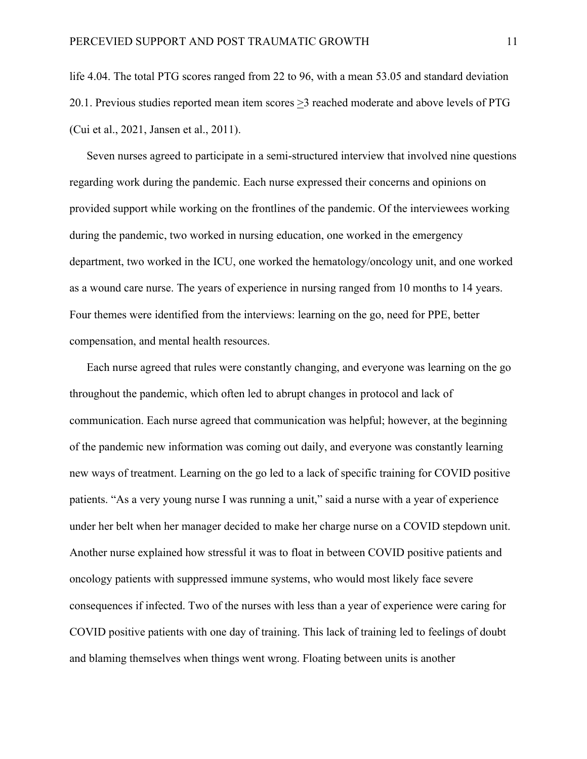life 4.04. The total PTG scores ranged from 22 to 96, with a mean 53.05 and standard deviation 20.1. Previous studies reported mean item scores >3 reached moderate and above levels of PTG (Cui et al., 2021, Jansen et al., 2011).

Seven nurses agreed to participate in a semi-structured interview that involved nine questions regarding work during the pandemic. Each nurse expressed their concerns and opinions on provided support while working on the frontlines of the pandemic. Of the interviewees working during the pandemic, two worked in nursing education, one worked in the emergency department, two worked in the ICU, one worked the hematology/oncology unit, and one worked as a wound care nurse. The years of experience in nursing ranged from 10 months to 14 years. Four themes were identified from the interviews: learning on the go, need for PPE, better compensation, and mental health resources.

Each nurse agreed that rules were constantly changing, and everyone was learning on the go throughout the pandemic, which often led to abrupt changes in protocol and lack of communication. Each nurse agreed that communication was helpful; however, at the beginning of the pandemic new information was coming out daily, and everyone was constantly learning new ways of treatment. Learning on the go led to a lack of specific training for COVID positive patients. "As a very young nurse I was running a unit," said a nurse with a year of experience under her belt when her manager decided to make her charge nurse on a COVID stepdown unit. Another nurse explained how stressful it was to float in between COVID positive patients and oncology patients with suppressed immune systems, who would most likely face severe consequences if infected. Two of the nurses with less than a year of experience were caring for COVID positive patients with one day of training. This lack of training led to feelings of doubt and blaming themselves when things went wrong. Floating between units is another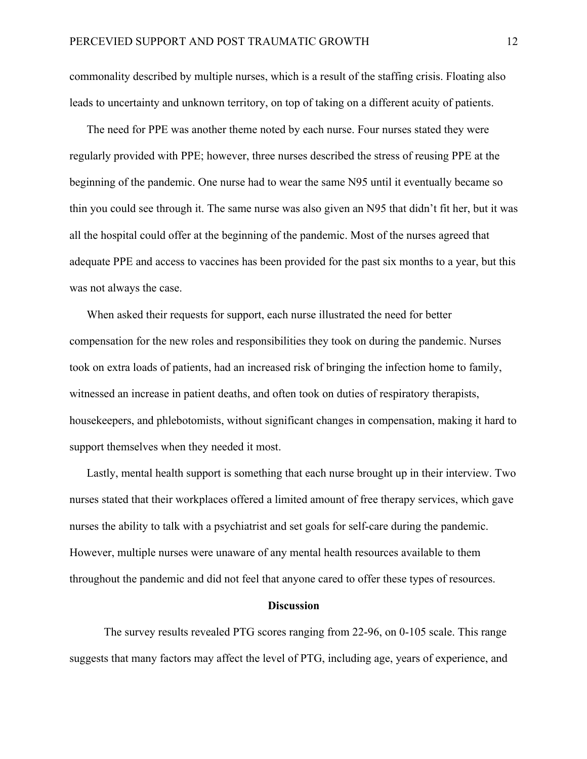commonality described by multiple nurses, which is a result of the staffing crisis. Floating also leads to uncertainty and unknown territory, on top of taking on a different acuity of patients.

The need for PPE was another theme noted by each nurse. Four nurses stated they were regularly provided with PPE; however, three nurses described the stress of reusing PPE at the beginning of the pandemic. One nurse had to wear the same N95 until it eventually became so thin you could see through it. The same nurse was also given an N95 that didn't fit her, but it was all the hospital could offer at the beginning of the pandemic. Most of the nurses agreed that adequate PPE and access to vaccines has been provided for the past six months to a year, but this was not always the case.

When asked their requests for support, each nurse illustrated the need for better compensation for the new roles and responsibilities they took on during the pandemic. Nurses took on extra loads of patients, had an increased risk of bringing the infection home to family, witnessed an increase in patient deaths, and often took on duties of respiratory therapists, housekeepers, and phlebotomists, without significant changes in compensation, making it hard to support themselves when they needed it most.

Lastly, mental health support is something that each nurse brought up in their interview. Two nurses stated that their workplaces offered a limited amount of free therapy services, which gave nurses the ability to talk with a psychiatrist and set goals for self-care during the pandemic. However, multiple nurses were unaware of any mental health resources available to them throughout the pandemic and did not feel that anyone cared to offer these types of resources.

#### **Discussion**

The survey results revealed PTG scores ranging from 22-96, on 0-105 scale. This range suggests that many factors may affect the level of PTG, including age, years of experience, and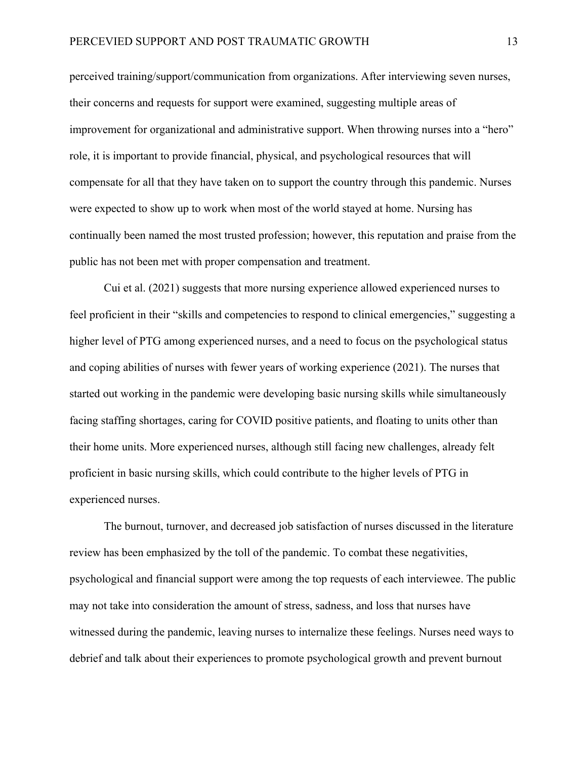perceived training/support/communication from organizations. After interviewing seven nurses, their concerns and requests for support were examined, suggesting multiple areas of improvement for organizational and administrative support. When throwing nurses into a "hero" role, it is important to provide financial, physical, and psychological resources that will compensate for all that they have taken on to support the country through this pandemic. Nurses were expected to show up to work when most of the world stayed at home. Nursing has continually been named the most trusted profession; however, this reputation and praise from the public has not been met with proper compensation and treatment.

Cui et al. (2021) suggests that more nursing experience allowed experienced nurses to feel proficient in their "skills and competencies to respond to clinical emergencies," suggesting a higher level of PTG among experienced nurses, and a need to focus on the psychological status and coping abilities of nurses with fewer years of working experience (2021). The nurses that started out working in the pandemic were developing basic nursing skills while simultaneously facing staffing shortages, caring for COVID positive patients, and floating to units other than their home units. More experienced nurses, although still facing new challenges, already felt proficient in basic nursing skills, which could contribute to the higher levels of PTG in experienced nurses.

The burnout, turnover, and decreased job satisfaction of nurses discussed in the literature review has been emphasized by the toll of the pandemic. To combat these negativities, psychological and financial support were among the top requests of each interviewee. The public may not take into consideration the amount of stress, sadness, and loss that nurses have witnessed during the pandemic, leaving nurses to internalize these feelings. Nurses need ways to debrief and talk about their experiences to promote psychological growth and prevent burnout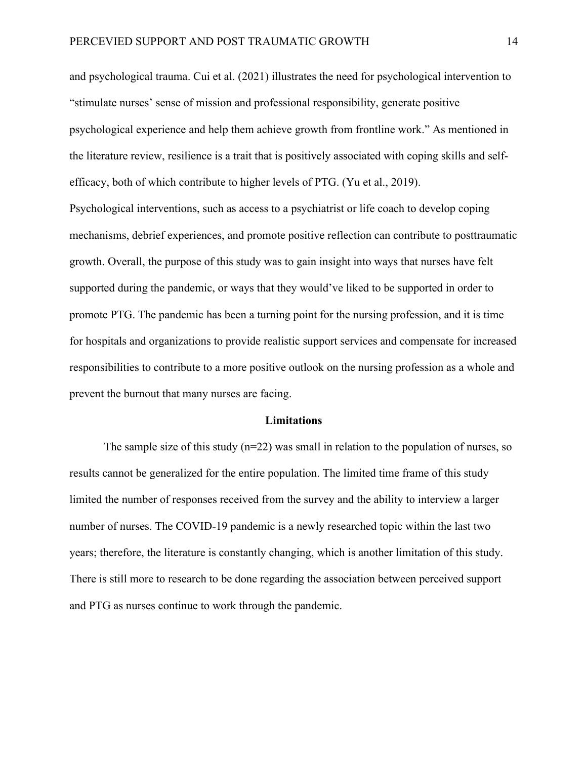and psychological trauma. Cui et al. (2021) illustrates the need for psychological intervention to "stimulate nurses' sense of mission and professional responsibility, generate positive psychological experience and help them achieve growth from frontline work." As mentioned in the literature review, resilience is a trait that is positively associated with coping skills and selfefficacy, both of which contribute to higher levels of PTG. (Yu et al., 2019).

Psychological interventions, such as access to a psychiatrist or life coach to develop coping mechanisms, debrief experiences, and promote positive reflection can contribute to posttraumatic growth. Overall, the purpose of this study was to gain insight into ways that nurses have felt supported during the pandemic, or ways that they would've liked to be supported in order to promote PTG. The pandemic has been a turning point for the nursing profession, and it is time for hospitals and organizations to provide realistic support services and compensate for increased responsibilities to contribute to a more positive outlook on the nursing profession as a whole and prevent the burnout that many nurses are facing.

#### **Limitations**

The sample size of this study  $(n=22)$  was small in relation to the population of nurses, so results cannot be generalized for the entire population. The limited time frame of this study limited the number of responses received from the survey and the ability to interview a larger number of nurses. The COVID-19 pandemic is a newly researched topic within the last two years; therefore, the literature is constantly changing, which is another limitation of this study. There is still more to research to be done regarding the association between perceived support and PTG as nurses continue to work through the pandemic.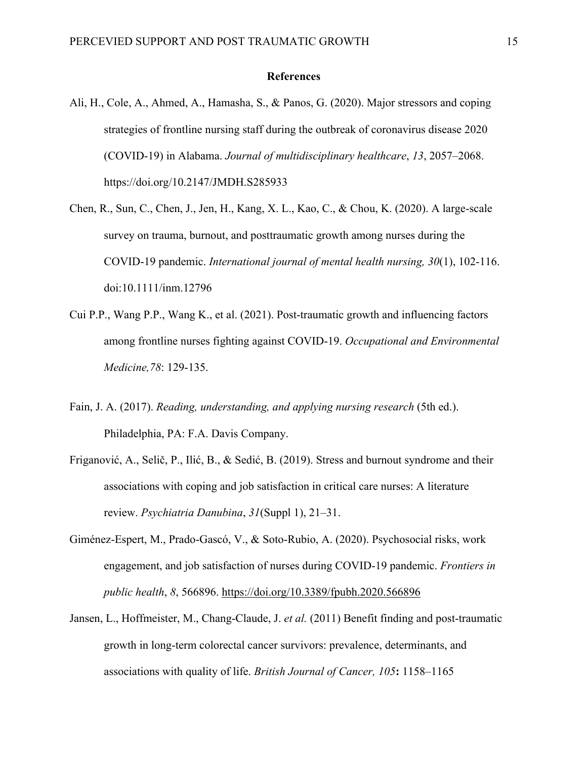#### **References**

- Ali, H., Cole, A., Ahmed, A., Hamasha, S., & Panos, G. (2020). Major stressors and coping strategies of frontline nursing staff during the outbreak of coronavirus disease 2020 (COVID-19) in Alabama. *Journal of multidisciplinary healthcare*, *13*, 2057–2068. https://doi.org/10.2147/JMDH.S285933
- Chen, R., Sun, C., Chen, J., Jen, H., Kang, X. L., Kao, C., & Chou, K. (2020). A large‐scale survey on trauma, burnout, and posttraumatic growth among nurses during the COVID‐19 pandemic. *International journal of mental health nursing, 30*(1), 102-116. doi:10.1111/inm.12796
- Cui P.P., Wang P.P., Wang K., et al. (2021). Post-traumatic growth and influencing factors among frontline nurses fighting against COVID-19. *Occupational and Environmental Medicine,78*: 129-135.
- Fain, J. A. (2017). *Reading, understanding, and applying nursing research* (5th ed.). Philadelphia, PA: F.A. Davis Company.
- Friganović, A., Selič, P., Ilić, B., & Sedić, B. (2019). Stress and burnout syndrome and their associations with coping and job satisfaction in critical care nurses: A literature review. *Psychiatria Danubina*, *31*(Suppl 1), 21–31.
- Giménez-Espert, M., Prado-Gascó, V., & Soto-Rubio, A. (2020). Psychosocial risks, work engagement, and job satisfaction of nurses during COVID-19 pandemic. *Frontiers in public health*, *8*, 566896. https://doi.org/10.3389/fpubh.2020.566896
- Jansen, L., Hoffmeister, M., Chang-Claude, J. *et al.* (2011) Benefit finding and post-traumatic growth in long-term colorectal cancer survivors: prevalence, determinants, and associations with quality of life. *British Journal of Cancer, 105***:** 1158–1165